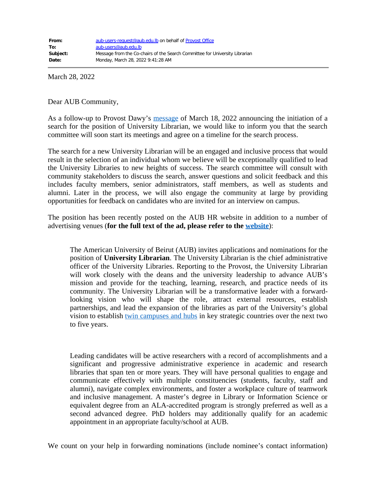March 28, 2022

Dear AUB Community,

As a follow-up to Provost Dawy's [message](https://www.aub.edu.lb/provost/Documents/Message-from-the-Provost-on-the-University-Librarian.pdf) of March 18, 2022 announcing the initiation of a search for the position of University Librarian, we would like to inform you that the search committee will soon start its meetings and agree on a timeline for the search process.

The search for a new University Librarian will be an engaged and inclusive process that would result in the selection of an individual whom we believe will be exceptionally qualified to lead the University Libraries to new heights of success. The search committee will consult with community stakeholders to discuss the search, answer questions and solicit feedback and this includes faculty members, senior administrators, staff members, as well as students and alumni. Later in the process, we will also engage the community at large by providing opportunities for feedback on candidates who are invited for an interview on campus.

The position has been recently posted on the AUB HR website in addition to a number of advertising venues (**for the full text of the ad, please refer to the [website](https://www.aub.edu.lb/hr/Pages/listing_ac.aspx)**):

The American University of Beirut (AUB) invites applications and nominations for the position of **University Librarian**. The University Librarian is the chief administrative officer of the University Libraries. Reporting to the Provost, the University Librarian will work closely with the deans and the university leadership to advance AUB's mission and provide for the teaching, learning, research, and practice needs of its community. The University Librarian will be a transformative leader with a forwardlooking vision who will shape the role, attract external resources, establish partnerships, and lead the expansion of the libraries as part of the University's global vision to establish <u>twin campuses and hubs</u> in key strategic countries over the next two to five years.

Leading candidates will be active researchers with a record of accomplishments and a significant and progressive administrative experience in academic and research libraries that span ten or more years. They will have personal qualities to engage and communicate effectively with multiple constituencies (students, faculty, staff and alumni), navigate complex environments, and foster a workplace culture of teamwork and inclusive management. A master's degree in Library or Information Science or equivalent degree from an ALA-accredited program is strongly preferred as well as a second advanced degree. PhD holders may additionally qualify for an academic appointment in an appropriate faculty/school at AUB.

We count on your help in forwarding nominations (include nominee's contact information)